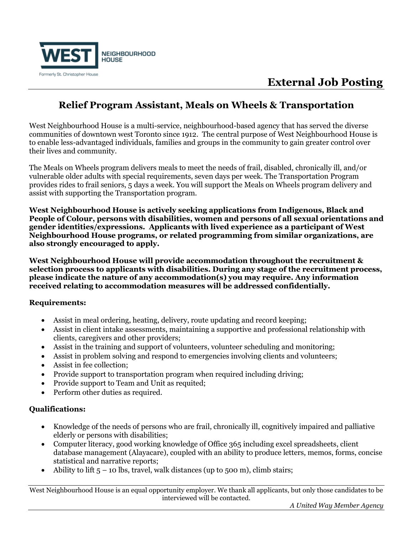

## **External Job Posting**

### **Relief Program Assistant, Meals on Wheels & Transportation**

West Neighbourhood House is a multi-service, neighbourhood-based agency that has served the diverse communities of downtown west Toronto since 1912. The central purpose of West Neighbourhood House is to enable less-advantaged individuals, families and groups in the community to gain greater control over their lives and community.

The Meals on Wheels program delivers meals to meet the needs of frail, disabled, chronically ill, and/or vulnerable older adults with special requirements, seven days per week. The Transportation Program provides rides to frail seniors, 5 days a week. You will support the Meals on Wheels program delivery and assist with supporting the Transportation program.

**West Neighbourhood House is actively seeking applications from Indigenous, Black and People of Colour, persons with disabilities, women and persons of all sexual orientations and gender identities/expressions. Applicants with lived experience as a participant of West Neighbourhood House programs, or related programming from similar organizations, are also strongly encouraged to apply.**

**West Neighbourhood House will provide accommodation throughout the recruitment & selection process to applicants with disabilities. During any stage of the recruitment process, please indicate the nature of any accommodation(s) you may require. Any information received relating to accommodation measures will be addressed confidentially.**

### **Requirements:**

- Assist in meal ordering, heating, delivery, route updating and record keeping;
- Assist in client intake assessments, maintaining a supportive and professional relationship with clients, caregivers and other providers;
- Assist in the training and support of volunteers, volunteer scheduling and monitoring;
- Assist in problem solving and respond to emergencies involving clients and volunteers;
- Assist in fee collection;
- Provide support to transportation program when required including driving;
- Provide support to Team and Unit as requited;
- Perform other duties as required.

### **Qualifications:**

- Knowledge of the needs of persons who are frail, chronically ill, cognitively impaired and palliative elderly or persons with disabilities;
- Computer literacy, good working knowledge of Office 365 including excel spreadsheets, client database management (Alayacare), coupled with an ability to produce letters, memos, forms, concise statistical and narrative reports;
- Ability to lift  $5 10$  lbs, travel, walk distances (up to 500 m), climb stairs;

West Neighbourhood House is an equal opportunity employer. We thank all applicants, but only those candidates to be interviewed will be contacted.